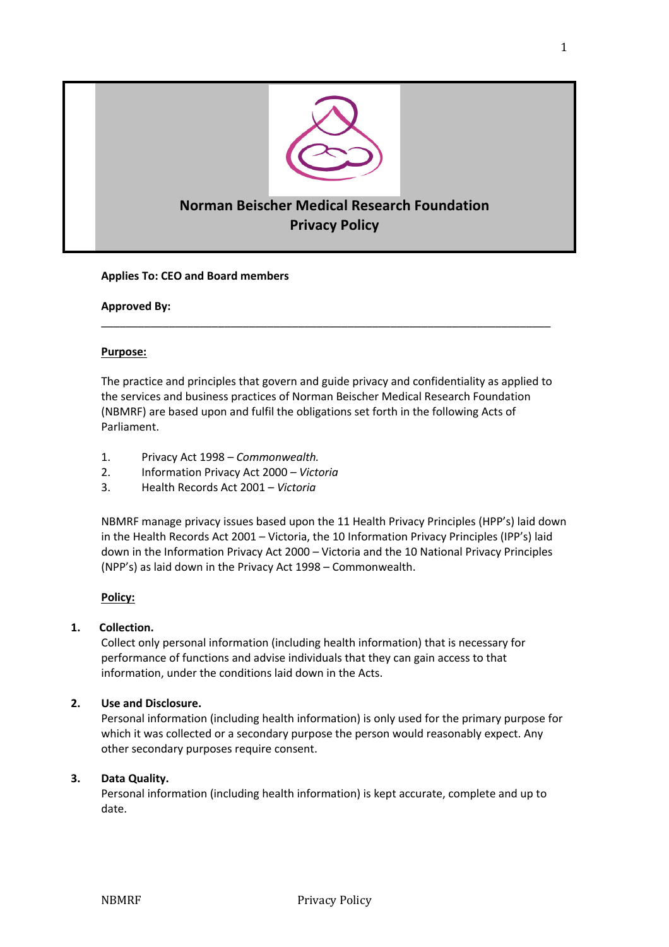

# **Norman Beischer Medical Research Foundation Privacy Policy**

## **Applies To: CEO and Board members**

**Approved By:**

## **Purpose:**

The practice and principles that govern and guide privacy and confidentiality as applied to the services and business practices of Norman Beischer Medical Research Foundation (NBMRF) are based upon and fulfil the obligations set forth in the following Acts of Parliament.

\_\_\_\_\_\_\_\_\_\_\_\_\_\_\_\_\_\_\_\_\_\_\_\_\_\_\_\_\_\_\_\_\_\_\_\_\_\_\_\_\_\_\_\_\_\_\_\_\_\_\_\_\_\_\_\_\_\_\_\_\_\_\_\_\_\_\_\_\_\_\_\_\_

- 1. Privacy Act 1998 *Commonwealth.*
- 2. Information Privacy Act 2000 *Victoria*
- 3. Health Records Act 2001 *Victoria*

NBMRF manage privacy issues based upon the 11 Health Privacy Principles (HPP's) laid down in the Health Records Act 2001 – Victoria, the 10 Information Privacy Principles (IPP's) laid down in the Information Privacy Act 2000 – Victoria and the 10 National Privacy Principles (NPP's) as laid down in the Privacy Act 1998 – Commonwealth.

## **Policy:**

## **1. Collection.**

Collect only personal information (including health information) that is necessary for performance of functions and advise individuals that they can gain access to that information, under the conditions laid down in the Acts.

## **2. Use and Disclosure.**

Personal information (including health information) is only used for the primary purpose for which it was collected or a secondary purpose the person would reasonably expect. Any other secondary purposes require consent.

## **3. Data Quality.**

Personal information (including health information) is kept accurate, complete and up to date.